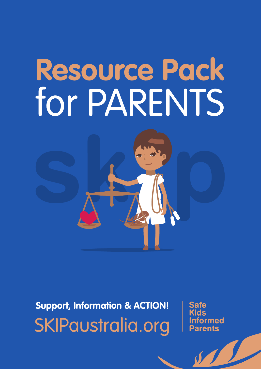# Resource Pack<br>for PARENTS



**Support, Information & ACTION! SKIPaustralia.org**  **Safe** Kids iormed **Parents**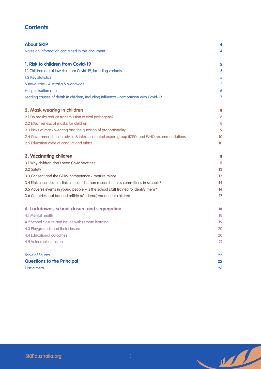# **Contents**

| <b>About SKIP</b>                                                                            | 4  |  |  |
|----------------------------------------------------------------------------------------------|----|--|--|
| Notes on information contained in this document                                              |    |  |  |
| 1. Risk to children from Covid-19                                                            | 5  |  |  |
| 1.1 Children are at low risk from Covid-19, including variants                               | 5  |  |  |
| 1.2 Key statistics                                                                           | 5  |  |  |
| Survival rate - Australia & worldwide                                                        | 5  |  |  |
| <b>Hospitalisation rates</b>                                                                 | 6  |  |  |
| Leading causes of death in children, including influenza - comparison with Covid-19          | 7  |  |  |
| 2. Mask wearing in children                                                                  | 8  |  |  |
| 2.1 Do masks reduce transmission of viral pathogens?                                         | 8  |  |  |
| 2.2 Effectiveness of masks for children                                                      | 8  |  |  |
| 2.3 Risks of mask wearing and the question of proportionality                                | 9  |  |  |
| 2.4 Government health advice & infection control expert group (ICEG) and WHO recommendations | 10 |  |  |
| 2.5 Education code of conduct and ethics                                                     | 10 |  |  |
| 3. Vaccinating children                                                                      | 11 |  |  |
| 3.1 Why children don't need Covid vaccines                                                   | H  |  |  |
| 3.2 Safety                                                                                   | 13 |  |  |
| 3.3 Consent and the Gillick competence / mature minor                                        | 13 |  |  |
| 3.4 Ethical conduct in clinical trials - human research ethics committees in schools?        | 14 |  |  |
| 3.5 Adverse events in young people - is the school staff trained to identify them?           | 14 |  |  |
| 3.6 Countries that banned mRNA (Moderna) vaccine for children                                | 17 |  |  |
| 4. Lockdowns, school closure and segregation                                                 | 18 |  |  |
| 4.1 Mental health                                                                            | 18 |  |  |
| 4.2 School closure and issues with remote learning                                           | 19 |  |  |
| 4.3 Playgrounds and their closure                                                            | 20 |  |  |
| 4.4 Educational outcomes                                                                     | 20 |  |  |
| 4.5 Vulnerable children                                                                      | 21 |  |  |
| <b>Table of figures</b>                                                                      | 23 |  |  |
| <b>Questions to the Principal</b>                                                            | 25 |  |  |
| <b>Disclaimers</b>                                                                           | 26 |  |  |

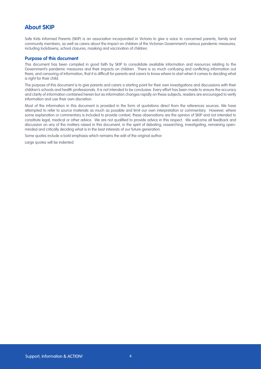# **About SKIP**

Safe Kids Informed Parents (SKIP) is an association incorporated in Victoria to give a voice to concerned parents, family and community members, as well as carers about the impact on children of the Victorian Government's various pandemic measures, including lockdowns, school closures, masking and vaccination of children.

## **Purpose of this document**

This document has been compiled in good faith by SKIP to consolidate available information and resources relating to the Government's pandemic measures and their impacts on children. There is so much confusing and conflicting information out there, and censoring of information, that it is difficult for parents and carers to know where to start when it comes to deciding what is right for their child.

The purpose of this document is to give parents and carers a starting point for their own investigations and discussions with their children's schools and health professionals. It is not intended to be conclusive. Every effort has been made to ensure the accuracy and clarity of information contained herein but as information changes rapidly on these subjects, readers are encouraged to verify information and use their own discretion.

Most of the information in this document is provided in the form of quotations direct from the references sources. We have attempted to refer to source materials as much as possible and limit our own interpretation or commentary. However, where some explanation or commentary is included to provide context, these observations are the opinion of SKIP and not intended to constitute legal, medical or other advice. We are not qualified to provide advice in this respect. We welcome all feedback and discussion on any of the matters raised in this document, in the spirit of debating, researching, investigating, remaining openminded and critically deciding what is in the best interests of our future generation.

Some quotes include a bold emphasis which remains the edit of the original author.

Large quotes will be indented.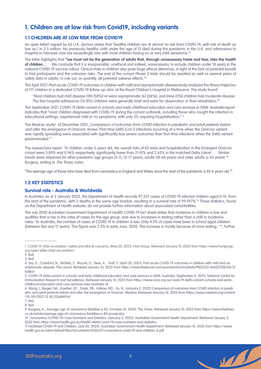# **1. Children are at low risk from Covid19, including variants**

# **1.1 CHILDREN ARE AT LOW RISK FROM COVID19**

An open letter1 signed by 63 U.K. doctors states that "healthy children are at almost no risk from COVID-19, with risk of death as low as 1 in 2.5 million. No previously healthy child under the age of 15 died during the pandemic in the U.K. and admissions to hospital or intensive care are exceedingly rare with most children having no or very mild symptoms."<sup>2</sup>

The letter highlights that **"we must not be the generation of adults that, through unnecessary haste and fear, risks the health of children…** We conclude that it is irresponsible, unethical and indeed, unnecessary, to include children under 18 years in the national COVID-19 vaccine rollout. Clinical trials in children also pose huge ethical dilemmas, in light of the lack of potential benefit to trial participants and the unknown risks. The end of the current Phase 3 trials should be awaited as well as several years of safety data in adults, to rule out, or quantify, all potential adverse effects."3

The April 2021 Post-acute COVID-19 outcomes in children with mild and asymptomatic disease study analysed the illness trajectory of 171 children in a dedicated COVID-19 follow-up clinic at the Royal Children's Hospital in Melbourne. The study found:

"Most children had mild disease (100 [58%]) or were asymptomatic (61 [36%]), and (nine [5%]) children had moderate disease. The few hospital admissions (14 [8%] children) were generally brief and were for observation or fluid rehydration."4

The September 2021 COVID-19 Delta variant in schools and early childhood education and care services in NSW, Australia report indicates that "most children diagnosed with COVID-19 during the current outbreak, including those who caught the infection in educational settings, experienced mild or no symptoms, with only 2% requiring hospitalisation." 5

The Medrxiv study<sup>6</sup> of December 2021, *Comparison of outcomes from COVID infection in paediatric and adult patients before* and after the emergence of Omicron, shows "First time SARS-CoV-2 infections occurring at a time when the Omicron variant was rapidly spreading were associated with significantly less severe outcomes than first-time infections when the Delta variant predominated."7

The researchers report "In children under 5 years old, the overall risks of ED visits and hospitalization in the Emergent Omicron cohort were 3.89% and 0.96% respectively, significantly lower than 21.01% and 2.65% in the matched Delta cohort …. Similar trends were observed for other paediatric age groups (5-11, 12-17 years), adults (18-64 years) and older adults (≥ 65 years)."8 Burgess, writing in The Times, notes

"The average age of those who have died from coronavirus in England and Wales since the start of the pandemic is 82.4 years old."9

# **1.2 KEY STATISTICS**

## **Survival rate - Australia & Worldwide**

In Australia, as of 2 January 2022, the Department of Health records 97,557 cases of COVID-19 infected children aged 0-19, from the start of the pandemic, with 3 deaths in the same age bracket, resulting in a survival rate of 99.997%.<sup>10</sup> These statistics, found on the Department of Health website, do not provide further information about associated comorbidities.

The July 2020 Australian Government Department of Health COVID-19 fact sheet states that incidence in children is low and qualifies that a rise in the rates of cases for the age group, was due to increases in testing rather than a shift in incidence rates: "In Australia, the number of cases of COVID-19 in children is low. Only 4.5% of cases have been in school aged children (between five and 17 years). This figure was 2.2% in early June, 2020. The increase is mostly because of more testing..."<sup>11</sup>, further

<sup>1</sup> COVID-19 child vaccination: safety and ethical concerns, (May 20, 2021). Hart Group. Retrieved January 10, 2022 from https://www.hartgroup. org/open-letter-child-vaccination/

<sup>2</sup> Ibid

<sup>3</sup> Ibid

<sup>4</sup> Say, D., Crawford, N., McNab, S., Wurzel, D., Steer, A., Tosif, S. (April 20, 2021). Post-acute COVID-19 outcomes in children with mild and asymptomatic disease. The Lancet. Retrieved January 10, 2022 from https://www.thelancet.com/journals/lanchi/article/PIIS2352-4642(21)00124-3/ fulltext

<sup>5</sup> COVID-19 Delta variant in schools and early childhood education and care services in NSW, Australia, (September 8, 2021). National Centre for Immunisation Research and Surveillance. Retrieved January 10, 2022 from https://www.ncirs.org.au/covid-19-delta-variant-schools-and-earlychildhood-education-and-care-services-nsw-australia-16

<sup>6</sup> Wang, L, Berger, NA., Kaelber, DC., Davis, PB., Volkow, ND., Xu, R., (January 2, 2022) Comparison of outcomes from COVID infection in paediatric and adult patients before and after the emergence of Omicron. Medrxiv. Retrieved January 10, 2022 from https://www.medrxiv.org/content /10.1101/2021.12.30.21268495v1

<sup>7</sup> Ibid

<sup>8</sup> Ibid

<sup>9</sup> Burgess, K., Average age of coronavirus fatalities is 82. (October 10, 2020). The Times. Retrieved January 10, 2022 from https://www.thetimes. co.uk/article/average-age-of-coronavirus-fatalities-is-82-pcwqrzdzz

<sup>10</sup> Coronavirus (COVID-19) Case Numbers and Statistics, (January 2, 2022). Australian Government Health Department. Retrieved January 2, 2022 from https://www.health.gov.au/health-alerts/covid-19/case-numbers-and-statistics

<sup>11</sup> Factsheet COVID-19 and Children, (July 20, 2020). Australian Government Health Department. Retrieved January 10, 2022 from https://www. health.gov.au/sites/default/files/documents/2020/07/coronavirus-covid-19-and-children\_0.pdf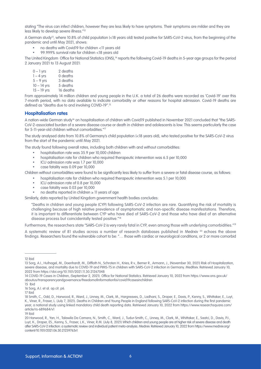stating "The virus can infect children, however they are less likely to have symptoms. Their symptoms are milder and they are less likely to develop severe illness."12

A German study13, where 10.8% of child population (<18 years old) tested positive for SARS-CoV-2 virus, from the beginning of the pandemic and until May 2021, shows:

- no deaths with Covid19 for children <11 years old
- 99.999% survival rate for children <18 years old

The United Kingdom Office for National Statistics (ONS),<sup>14</sup> reports the following Covid-19 deaths in 5-year age groups for the period 2 January 2021 to 13 August 2021:

| $0 - 1$ yrs   | 2 deaths  |
|---------------|-----------|
| $1 - 4$ yrs   | 0 deaths  |
| $5 - 9$ yrs   | 3 deaths  |
| $10 - 14$ yrs | 5 deaths  |
| $15 - 19$ yrs | 16 deaths |

From approximately 14 million children and young people in the U.K. a total of 26 deaths were recorded as 'Covid-19' over this 7-month period, with no data available to indicate comorbidity or other reasons for hospital admission. Covid-19 deaths are defined as "deaths due to and involving COVID-19".15

#### **Hospitalisation rates**

A nation-wide German study<sup>16</sup> on hospitalisation of children with Covid19 published in November 2021 concluded that "the SARS-CoV-2-associated burden of a severe disease course or death in children and adolescents is low. This seems particularly the case for 5-11-year-old children without comorbidities."17

The study analysed data from 10.8% of Germany's child population (<18 years old), who tested positive for the SARS-CoV-2 virus from the start of the pandemic until May 2021.

The study found following overall rates, including both children with and without comorbidities:

- hospitalisation rate was 35.9 per 10,000 children
- hospitalisation rate for children who required therapeutic intervention was 6.5 per 10,000<br>• ICLI admission rate was 1.7 per 10,000
- ICU admission rate was 1.7 per 10,000
- case fatality was 0.09 per 10,000

Children without comorbidities were found to be significantly less likely to suffer from a severe or fatal disease course, as follows:

- hospitalisation rate for children who required therapeutic intervention was 5.1 per 10,000
- ICU admission rate of 0.8 per 10,000
- case fatality was 0.03 per 10,000
- no deaths reported in children  $\geq$  11 years of age

Similarly, data reported by United Kingdom government health bodies concludes:

"Deaths in children and young people (CYP) following SARS-CoV-2 infection are rare. Quantifying the risk of mortality is challenging because of high relative prevalence of asymptomatic and non-specific disease manifestations. Therefore, it is important to differentiate between CYP who have died of SARS-CoV-2 and those who have died of an alternative disease process but coincidentally tested positive."18

Furthermore, the researchers state "SARS-CoV-2 is very rarely fatal in CYP, even among those with underlying comorbidities."19

A systematic review of 81 studies across a number of research databases published in Medrxiv 20 echoes the above findings. Researchers found the vulnerable cohort to be: "... those with cardiac or neurological conditions, or 2 or more comorbid

<sup>12</sup> Ibid

<sup>13</sup> Sorg, A.I., Hufnagel, M., Doenhardt, M., Diffloth N., Schroten H., Kries, R v., Berner R., Armann, J., (November 30, 2021) Risk of Hospitalization, severe disease, and mortality due to COVID-19 and PIMS-TS in children with SARS-CoV-2 infection in Germany. MedRxiv. Retrieved January 10, 2022 from https://doi.org/10.1101/2021.11.30.21267048

<sup>14</sup> COVID-19 Cases in Children, (September 2, 2021). Office for National Statistics. Retrieved January 10, 2022 from https://www.ons.gov.uk/ aboutus/transparencyandgovernance/freedomofinformationfoi/covid19casesinchildren

<sup>15</sup> Ibid

<sup>16</sup> Sorg, A.I. et al. op.cit. p6.

<sup>17</sup> Ibid

<sup>18</sup> Smith, C., Odd, D., Harwood, R., Ward, J., Linney, M., Clark, M., Hargreaves, D., Ladhani, S., Draper, E., Davis, P., Kenny, S., Whittaker, E., Luyt, K., Viner, R., Fraser, L. (July 7, 2021). Deaths in Children and Young People in England following SARS-CoV-2 infection during the first pandemic year; a national study using linked mandatory child death reporting data. Retrieved January 10, 2022 from https://www.researchsquare.com/ article/rs-689684/v1

<sup>19</sup> Ibid

<sup>20</sup> Harwood, R., Yan, H., Talawila Da Camara, N., Smith, C., Ward, J., Tudur-Smith, C., Linney, M., Clark, M., Whittaker, E., Saatci, D., Davis, PJ., Luyt, K., Draper, ES., Kenny, S., Fraser, L.K., Viner, R.M. (July 8, 2021) Which children and young people are at higher risk of severe disease and death after SARS-CoV-2 infection: a systematic review and individual patient meta-analysis. Medrxiv. Retrieved January 10, 2022 from https://www.medrxiv.org/ content/10.1101/2021.06.30.21259763v1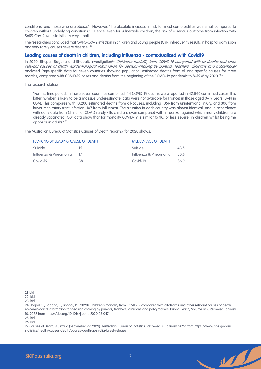conditions, and those who are obese."<sup>21</sup> However, "the absolute increase in risk for most comorbidities was small compared to children without underlying conditions."22 Hence, even for vulnerable children, the risk of a serious outcome from infection with SARS-CoV-2 was statistically very small.

The researchers concluded that "SARS-CoV-2 infection in children and young people (CYP) infrequently results in hospital admission and very rarely causes severe disease."23

#### **Leading causes of death in children, including influenza - contextualized with Covid19**

In 2020, Bhopal, Bagaria and Bhopal's investigation<sup>24</sup> Children's mortality from COVID-19 compared with all-deaths and other relevant causes of death: epidemiological information for decision-making by parents, teachers, clinicians and policymaker analysed "age-specific data for seven countries showing population, estimated deaths from all and specific causes for three months, compared with COVID-19 cases and deaths from the beginning of the COVID-19 pandemic to 8–19 May 2020."25

The research states:

"For this time period, in these seven countries combined, 44 COVID-19 deaths were reported in 42,846 confirmed cases (this latter number is likely to be a massive underestimate; data were not available for France) in those aged 0–19 years (0–14 in USA). This compares with 13,200 estimated deaths from all-causes, including 1056 from unintentional injury, and 308 from lower respiratory tract infection (107 from influenza). The situation in each country was almost identical, and in accordance with early data from China i.e. COVID rarely kills children, even compared with influenza, against which many children are already vaccinated. Our data show that for mortality COVID-19 is similar to flu, or less severe, in children whilst being the opposite in adults."26

The Australian Bureau of Statistics Causes of Death report27 for 2020 shows:

| RANKING BY LEADING CAUSE OF DEATH |                | <b>MEDIAN AGE OF DEATH</b> |      |  |
|-----------------------------------|----------------|----------------------------|------|--|
| Suicide                           | $\overline{5}$ | <b>Suicide</b>             | 43.5 |  |
| Influenza & Pneumonia             |                | Influenza & Pneumonia      | 88.8 |  |
| $Covid-19$                        | 38             | Covid-19                   | 86.9 |  |

25 Ibid



<sup>21</sup> Ibid

<sup>22</sup> Ibid

<sup>23</sup> Ibid

<sup>24</sup> Bhopal, S., Bagaria, J., Bhopal, R., (2020). Children's mortality from COVID-19 compared with all-deaths and other relevant causes of death: epidemiological information for decision-making by parents, teachers, clinicians and policymakers. Public Health, Volume 185. Retrieved January 10, 2022 from https://doi.org/10.1016/j.puhe.2020.05.047

<sup>27</sup> Causes of Death, Australia (September 29, 2021). Australian Bureau of Statistics. Retrieved 10 January, 2022 from https://www.abs.gov.au/ statistics/health/causes-death/causes-death-australia/latest-release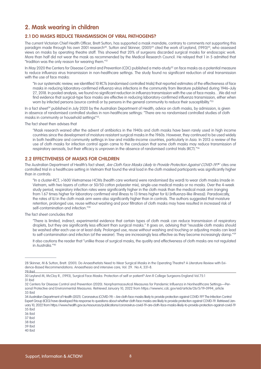# **2. Mask wearing in children**

## **2.1 DO MASKS REDUCE TRANSMISSION OF VIRAL PATHOGENS?**

The current Victorian Chief Health Officer, Brett Sutton, has supported a mask mandate, contrary to comments not supporting this paradigm made through his own 2001 research<sup>28</sup>. Sutton and Skinner, (2001)<sup>29</sup> cited the work of Leyland, (1993)<sup>30</sup>, who assessed views on masks by operating theatre staff. This showed that 20% of surgeons discarded surgical masks for endoscopic work. More than half did not wear the mask as recommended by the Medical Research Council. He relayed that 1 in 5 admitted that "tradition was the only reason for wearing them."31

In May 2020 the Centers for Disease Control and Prevention (CDC) published a meta-study<sup>32</sup> on face masks as a potential measure to reduce influenza virus transmission in non-healthcare settings. The study found no significant reduction of viral transmission with the use of face masks:

"In our systematic review, we identified 10 RCTs [randomised controlled trials] that reported estimates of the effectiveness of face masks in reducing laboratory-confirmed influenza virus infections in the community from literature published during 1946–July 27, 2018. In pooled analysis, we found no significant reduction in influenza transmission with the use of face masks…We did not find evidence that surgical-type face masks are effective in reducing laboratory-confirmed influenza transmission, either when worn by infected persons (source control) or by persons in the general community to reduce their susceptibility."33

In a fact sheet<sup>34</sup> published in July 2020 by the Australian Department of Health, advice on cloth masks, by admission, is given in absence of randomised controlled studies in non-healthcare settings: "There are no randomised controlled studies of cloth masks in community or household settings"35.

The fact sheet then advises that

"Mask research waned after the advent of antibiotics in the 1940s and cloth masks have been rarely used in high income countries since the development of moisture resistant surgical masks in the 1960s. However, they continued to be used widely in both healthcare and community settings in low and middle-income countries, particularly in Asia. In 2013 a review of the use of cloth masks for infection control again came to the conclusion that some cloth masks may reduce transmission of respiratory aerosols, but their efficacy is unproven in the absence of randomised control trials (RCT)."36

#### **2.2 EFFECTIVENESS OF MASKS FOR CHILDREN**

The Australian Department of Health's fact sheet, Are Cloth Face Masks Likely to Provide Protection Against COVID-19?<sup>37</sup> cites one controlled trial in a healthcare setting in Vietnam that found the viral load in the cloth masked participants was significantly higher than in controls:

"In a cluster-RCT, >1600 Vietnamese HCWs [health care workers] were randomised (by ward) to wear cloth masks (made in Vietnam, with two layers of cotton or 50/50 cotton polyester mix), single-use medical masks or no masks. Over the 4-week study period, respiratory infection rates were significantly higher in the cloth mask than the medical mask arm (ranging from 1.67 times higher for laboratory confirmed viral illness to 13 times higher for ILI [influenza-like illness]). Paradoxically, the rates of ILI in the cloth mask arm were also significantly higher than in controls. The authors suggested that moisture retention, prolonged use, reuse without washing and poor filtration of cloth masks may have resulted in increased risk of self-contamination and infection."38

The fact sheet concludes that

"There is limited, indirect, experimental evidence that certain types of cloth mask can reduce transmission of respiratory droplets, but they are significantly less efficient than surgical masks." It goes on, advising that "reusable cloth masks should be washed after each use or at least daily. Prolonged use, reuse without washing and touching or adjusting masks can lead to self-contamination and infection (of the wearer). They are increasingly less effective as they become increasingly damp."<sup>39</sup>

It also cautions the reader that "unlike those of surgical masks, the quality and effectiveness of cloth masks are not regulated in Australia."40

<sup>28</sup> Skinner, M & Sutton, Brett. (2001). Do Anaesthetists Need to Wear Surgical Masks in the Operating Theatre? A Literature Review with Evidence-Based Recommendations. Anaesthesia and intensive care, Vol. 29. No.4, 331-8.

<sup>29</sup> Ibid

<sup>30</sup> Leyland M, McCloy R., (1993), Surgical Face Masks: Protection of self or patient? Ann R College Surgeons England Vol.75:1

<sup>31</sup> Ibid

<sup>32</sup> Centers for Disease Control and Prevention (2020). Nonpharmaceutical Measures for Pandemic Influenza in Nonhealthcare Settings—Personal Protective and Environmental Measures. Retrieved January 10, 2022 from https://wwwnc.cdc.gov/eid/article/26/5/19-0994\_article 33 Ibid

<sup>34</sup> Australian Department of Health (2021). Coronavirus (COVID-19) – Are cloth face masks likely to provide protection against COVID-19? The Infection Control Expert Group (ICEG) have developed this response to questions about whether cloth face masks are likely to provide protection against COVID-19. Retrieved January 10, 2022 from https://www.health.gov.au/resources/publications/coronavirus-covid-19-are-cloth-face-masks-likely-to-provide-protection-against-covid-19 35 Ibid

<sup>36</sup> Ibid

<sup>37</sup> Ibid

<sup>38</sup> Ibid

<sup>39</sup> Ibid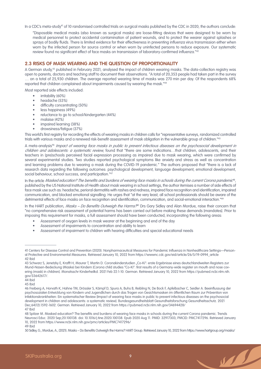In a CDC's meta-study<sup>41</sup> of 10 randomised controlled trials on surgical masks published by the CDC in 2020, the authors conclude:

"Disposable medical masks (also known as surgical masks) are loose-fitting devices that were designed to be worn by medical personnel to protect accidental contamination of patient wounds, and to protect the wearer against splashes or sprays of bodily fluids. There is limited evidence for their effectiveness in preventing influenza virus transmission either when worn by the infected person for source control or when worn by uninfected persons to reduce exposure. Our systematic review found no significant effect of face masks on transmission of laboratory-confirmed influenza."<sup>42</sup>

# **2.3 RISKS OF MASK WEARING AND THE QUESTION OF PROPORTIONALITY**

A German study,43 published in February 2021, analysed the impact of children wearing masks. The data-collection registry was open to parents, doctors and teaching staff to document their observations. "A total of 20,353 people had taken part in the survey … on a total of 25,930 children. The average reported wearing time of masks was 270 min per day. Of the respondents 68% reported that children complained about impairments caused by wearing the mask."44

Most reported side effects included:

- irritability (60%)
- headache (53%)
- difficulty concentrating (50%)
- less happiness (49%)
- reluctance to go to school/kindergarten (44%)
- malaise (42%)
- impaired learning (38%)
- drowsiness/fatigue (37%)

This world's first registry for recording the effects of wearing masks in children calls for "representative surveys, randomized controlled trials with various masks and a renewed risk-benefit assessment of mask obligation in the vulnerable group of children."45

A meta-analysis<sup>46</sup> Impact of wearing face masks in public to prevent infectious diseases on the psychosocial development in children and adolescents: a systematic review, found that "there are some indications...that children, adolescents, and their teachers in (pre)schools perceived facial expression processing as impaired due to mask wearing, which were confirmed by several experimental studies. Two studies reported psychological symptoms like anxiety and stress as well as concentration and learning problems due to wearing a mask during the COVID-19 pandemic." The authors proposed that "there is a lack of research data regarding the following outcomes: psychological development, language development, emotional development, social behaviour, school success, and participation."47

In the article Masked education? The benefits and burdens of wearing face masks in schools during the current Corona pandemic<sup>48</sup>, published by the US National Institute of Health about mask wearing in school settings, the author itemises a number of side effects of face mask use such as: headache, perioral dermatitis with rashes and redness, impaired face recognition and identification, impaired communication, and blocked emotional signalling. He urges that "at the very least, all school professionals should be aware of the detrimental effects of face masks on face recognition and identification, communication, and social-emotional interaction."49

In the HART publication, Masks - Do Benefits Outweigh the Harms?<sup>50</sup> Drs Gary Sidley and Alan Mordue, raise their concern that "no comprehensive risk assessment of potential harms has been carried out before making these demands [mandates]. Prior to imposing this requirement for masks, a full assessment should have been conducted, incorporating the following areas:

- Assessment of oxygen levels in mask wearer at the beginning and end of the day
- • Assessment of impairments to concentration and ability to learn
- Assessment of impairment to children with hearing difficulties and special educational needs

49 Ibid

W

<sup>41</sup> Centers for Disease Control and Prevention (2020). Nonpharmaceutical Measures for Pandemic Influenza in Nonhealthcare Settings—Personal Protective and Environmental Measures. Retrieved January 10, 2022 from https://wwwnc.cdc.gov/eid/article/26/5/19-0994\_article 42 Ibid

<sup>43</sup> Schwarz S, Jenetzky E, Krafft H, Maurer T, Martin D. Coronakinderstudien "Co-Ki": erste Ergebnisse eines deutschlandweiten Registers zur Mund-Nasen-Bedeckung (Maske) bei Kindern [Corona child studies "Co-Ki": first results of a Germany-wide register on mouth and nose covering (mask) in children]. Monatsschr Kinderheilkd. 2021 Feb 22:1-10. German. Retrieved January 10, 2022 from https://pubmed.ncbi.nlm.nih. gov/33642617/.

 $44$  Ibid

<sup>45</sup> Ibid

<sup>46</sup> Freiberg A, Horvath K, Hahne TM, Drössler S, Kämpf D, Spura A, Buhs B, Reibling N, De Bock F, Apfelbacher C, Seidler A. Beeinflussung der psychosozialen Entwicklung von Kindern und Jugendlichen durch das Tragen von Gesichtsmasken im öffentlichen Raum zur Prävention von Infektionskrankheiten: Ein systematischer Review [Impact of wearing face masks in public to prevent infectious diseases on the psychosocial development in children and adolescents: a systematic review]. Bundesgesundheitsblatt Gesundheitsforschung Gesundheitsschutz. 2021 Dec;64(12):1592-1602. German. Retrieved January 10, 2022 from https://pubmed.ncbi.nlm.nih.gov/34694428/ 47 Ibid

<sup>48</sup> Spitzer M. Masked education? The benefits and burdens of wearing face masks in schools during the current Corona pandemic. Trends Neurosci Educ. 2020 Sep;20:100138. doi: 10.1016/j.tine.2020.100138. Epub 2020 Aug 11. PMID: 32917303; PMCID: PMC7417296. Retrieved January 10, 2022 from https://www.ncbi.nlm.nih.gov/pmc/articles/PMC7417296/

<sup>50</sup> Sidley, G., Mordue, A., (2021). Masks – Do Benefits Outweigh the Harms? HART Group. Retrieved January 10, 2022 from https://www.hartgroup.org/masks/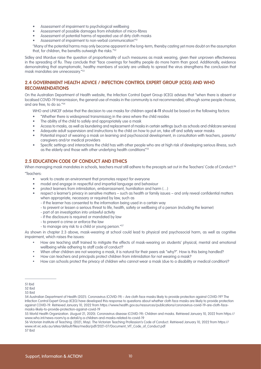- Assessment of impairment to psychological wellbeing
- Assessment of possible damages from inhalation of micro-fibres
- Assessment of potential harms of repeated use of dirty cloth masks
- Assessment of impairment to non-verbal communication"51

"Many of the potential harms may only become apparent in the long-term, thereby casting yet more doubt on the assumption that, for children, the benefits outweigh the risks."<sup>52</sup>

Sidley and Mordue raise the question of proportionality of such measures as mask wearing, given their unproven effectiveness in the spreading of flu. They conclude that "face coverings for healthy people do more harm than good. Additionally, evidence demonstrating that asymptomatic, healthy members of society are unlikely to spread the virus strengthens the conclusion that mask mandates are unnecessary."53

# **2.4 GOVERNMENT HEALTH ADVICE / INFECTION CONTROL EXPERT GROUP (ICEG) AND WHO RECOMMENDATIONS**

On the Australian Department of Health website, the Infection Control Expert Group (ICEG) advises that "when there is absent or localised COVID-19 transmission, the general use of masks in the community is not recommended, although some people choose, and are free, to do so."54

WHO and UNICEF advise that the decision to use masks for children aged 6-11 should be based on the following factors:

- "Whether there is widespread transmission in the area where the child resides
- The ability of the child to safely and appropriately use a mask
- • Access to masks, as well as laundering and replacement of masks in certain settings (such as schools and childcare services)
- Adequate adult supervision and instructions to the child on how to put on, take off and safely wear masks
- Potential impact of wearing a mask on learning and psychosocial development, in consultation with teachers, parents/ caregivers and/or medical providers
- Specific settings and interactions the child has with other people who are at high risk of developing serious illness, such as the elderly and those with other underlying health conditions"<sup>55</sup>

# **2.5 EDUCATION CODE OF CONDUCT AND ETHICS**

When managing mask mandates in schools, teachers must still adhere to the precepts set out in the Teachers' Code of Conduct:<sup>56</sup> "Teachers:

- work to create an environment that promotes respect for everyone
- model and engage in respectful and impartial language and behaviour
- protect learners from intimidation, embarrassment, humiliation and harm (...)
- respect a learner's privacy in sensitive matters such as health or family issues and only reveal confidential matters when appropriate, necessary or required by law, such as
	- if the learner has consented to the information being used in a certain way
	- to prevent or lessen a serious threat to life, health, safety or wellbeing of a person (including the learner)
	- part of an investigation into unlawful activity
	- if the disclosure is required or mandated by law
	- to prevent a crime or enforce the law
	- to manage any risk to a child or young person."57

As shown in chapter 2.3 above, mask-wearing at school could lead to physical and psychosocial harm, as well as cognitive impairment, which raises the issues:

- How are teaching staff trained to mitigate the effects of mask-wearing on students' physical, mental and emotional wellbeing while adhering to staff code of conduct?
- When other children are not wearing a mask, it is natural for their peers ask "why?". How is this being handled?
- How can teachers and principals protect children from intimidation for not wearing a mask?
- How can schools protect the privacy of children who cannot wear a mask (due to a disability or medical condition)?

55 World Health Organization. (August 21, 2020). Coronavirus disease (COVID-19): Children and masks. Retrieved January 10, 2022 from https:// www.who.int/news-room/q-a-detail/q-a-children-and-masks-related-to-covid-19

56 Victorian Institute of Teaching. (2021, May). The Victorian Teaching Profession's Code of Conduct. Retrieved January 10, 2022 from https:// www.vit.vic.edu.au/sites/default/files/media/pdf/2021-07/Document\_VIT\_Code\_of\_Conduct.pdf 57 Ibid

<sup>51</sup> Ibid

<sup>52</sup> Ibid

<sup>53</sup> Ibid

<sup>54</sup> Australian Department of Health (2021). Coronavirus (COVID-19) – Are cloth face masks likely to provide protection against COVID-19? The Infection Control Expert Group (ICEG) have developed this response to questions about whether cloth face masks are likely to provide protection against COVID-19. Retrieved January 10, 2022 from https://www.health.gov.au/resources/publications/coronavirus-covid-19-are-cloth-facemasks-likely-to-provide-protection-against-covid-19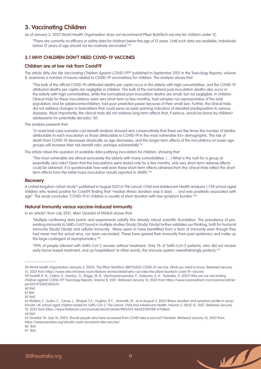# **3. Vaccinating Children**

As of January 5, 2022 World Health Organisation does not recommend Pfizer BioNTech vaccine for children under 12:

"There are currently no efficacy or safety data for children below the age of 12 years. Until such data are available, individuals below 12 years of age should not be routinely vaccinated."58

# **3.1 WHY CHILDREN DON'T NEED COVID-19 VACCINES**

## **Children are at low risk from Covid19**

The article Why Are We Vaccinating Children Against COVID-19?<sup>59</sup> published in September 2021 in the Toxicology Reports, volume 8, examines a number of issues related to COVID-19 vaccinations for children. The analysis shows that

"The bulk of the official COVID-19-attributed deaths per capita occur in the elderly with high comorbidities, and the COVID-19 attributed deaths per capita are negligible in children. The bulk of the normalized post-inoculation deaths also occur in the elderly with high comorbidities, while the normalized post-inoculation deaths are small, but not negligible, in children. Clinical trials for these inoculations were very short-term (a few months), had samples not representative of the total population, and for adolescents/children, had poor predictive power because of their small size. Further, the clinical trials did not address changes in biomarkers that could serve as early warning indicators of elevated predisposition to serious diseases. Most importantly, the clinical trials did not address long-term effects that, if serious, would be borne by children/ adolescents for potentially decades."60

The analysis presents that

"A novel best-case scenario cost-benefit analysis showed very conservatively that there are five times the number of deaths attributable to each inoculation vs those attributable to COVID-19 in the most vulnerable 65+ demographic. The risk of death from COVID-19 decreases drastically as age decreases, and the longer-term effects of the inoculations on lower age groups will increase their risk-benefit ratio, perhaps substantially."61

The article raises the question of available data justifying inoculation for children, showing that

"The most vulnerable are almost exclusively the elderly with many comorbidities. (…) What is the rush for a group at essentially zero risks? Given that the inoculations were tested only for a few months, only very short-term adverse effects could be obtained. It is questionable how well even these short-term effects obtained from the clinical trials reflect the shortterm effects from the initial mass inoculation results reported in VAERS."<sup>62</sup>

#### **Recovery**

A United Kingdom cohort study63 published in August 2021 in The Lancet, Child and Adolescent Health analyses 1,734 school-aged children who tested positive for Covid19 finding that "median illness duration was 6 days … and was positively associated with age". The study concludes "COVID-19 in children is usually of short duration with low symptom burden."64

#### **Natural Immunity versus vaccine-induced immunity**

In an article<sup>65</sup> from July 2021, Marc Girardot of PANDA shows that:

"Multiple confirming data points and experiments solidify this already robust scientific foundation: The prevalence of preexisting immunity to SARS-CoV2 found in multiple studies (Study) (Study) (Study) further validates our thinking, both for humoral immunity (Study) (Study) and cellular immunity. Many seem to have benefitted from a form of immunity even though they had never met the actual virus, nor been vaccinated. These have gained their immunity from past epidemics and make up the large contingent of asymptomatics."<sup>66</sup>

"99% of people infected with SARS-CoV-2 recover without treatment. Only 1% of SARS-CoV-2 patients, who did not receive early home-based treatment, end up hospitalised. In other words, the immune system overwhelmingly protects."<sup>67</sup>

<sup>58</sup> World Health Organisation (January 5, 2022). The Pfizer BioNTech (BNT162b2) COVID-19 vaccine: What you need to know. Retrieved January 15, 2022 from https://www.who.int/news-room/feature-stories/detail/who-can-take-the-pfizer-biontech-covid-19--vaccine

<sup>59</sup> Kostoff, R. N., Calina, D., Kanduc, D., Briggs, M. B., Vlachoyiannopoulos, P., Svistunov, A. A., Tsatsakis, A. (2021) Why are we vaccinating children against COVID-19? Toxicology Reports, Volume 8, 2021. Retrieved January 10, 2022 from https://www.sciencedirect.com/science/article/ pii/S221475002100161X

<sup>60</sup> Ibid

<sup>61</sup> Ibid

<sup>62</sup> Ibid

<sup>63</sup> Molteni, E., Sudre, C., Canas, L., Bhopal, S.S., Hughes, R.C., Antonelli, M., et al (August 3, 2021) Illness duration and symptom profile in symptomatic UK school-aged children tested for SARS-CoV-2. The Lancet. Child and Adolescent Health, Volume 5, ISSUE 10, 2021. Retrieved January 10, 2022 from https://www.thelancet.com/journals/lanchi/article/PIIS2352-4642(21)00198-X/fulltext

<sup>64</sup> Ibid

<sup>65</sup> Girardot, M. (July 10, 2021). Should people who have recovered from COVID take a vaccine? Pandata. Retrieved January 10, 2022 from https://www.pandata.org/should-covid-recovered-take-vaccine/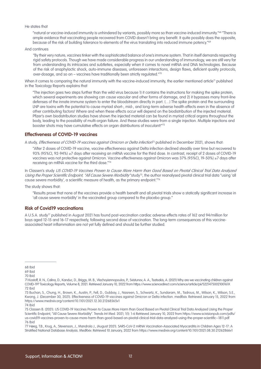#### He states that

"natural or vaccine-induced immunity is unhindered by variants, possibly more so than vaccine-induced immunity."68 "There is ample evidence that vaccinating people recovered from COVID doesn't bring any benefit. It quite possibly does the opposite, because of the risk of building tolerance to elements of the virus translating into reduced immune potency."69

And continues

"By their very nature, vaccines tinker with the sophisticated balance of one's immune system. That in itself demands respecting rigid safety protocols. Though we have made considerable progress in our understanding of immunology, we are still very far from understanding its intricacies and subtleties, especially when it comes to novel mRNA and DNA technologies. Because of the risk of anaphylactic shock, auto-immune diseases, unforeseen interactions, design flaws, deficient quality protocols, over-dosage, and so on – vaccines have traditionally been strictly regulated."70

When it comes to comparing the natural immunity with the vaccine-induced immunity, the earlier mentioned article71 published in the Toxicology Reports explains that

"The injection goes two steps further than the wild virus because 1) it contains the instructions for making the spike protein, which several experiments are showing can cause vascular and other forms of damage, and 2) it bypasses many front-line defenses of the innate immune system to enter the bloodstream directly in part. (…) The spike protein and the surrounding LNP are toxins with the potential to cause myriad short-, mid-, and long-term adverse health effects even in the absence of other contributing factors! Where and when these effects occur will depend on the biodistribution of the injected material. Pfizer's own biodistribution studies have shown the injected material can be found in myriad critical organs throughout the body, leading to the possibility of multi-organ failure. And these studies were from a single injection. Multiple injections and booster shots may have cumulative effects on organ distributions of inoculant!"72

#### **Effectiveness of COVID-19 vaccines**

A study, Effectiveness of COVID-19 vaccines against Omicron or Delta infection<sup>73</sup> published in December 2021, shows that:

"After 2 doses of COVID-19 vaccine, vaccine effectiveness against Delta infection declined steadily over time but recovered to 93% (95%CI, 92-94%) ≥7 days after receiving an mRNA vaccine for the third dose. In contrast, receipt of 2 doses of COVID-19 vaccines was not protective against Omicron. Vaccine effectiveness against Omicron was 37% (95%CI, 19-50%) ≥7 days after receiving an mRNA vaccine for the third dose."74

In Classen's study US COVID-19 Vaccines Proven to Cause More Harm than Good Based on Pivotal Clinical Trial Data Analyzed Using the Proper Scientific Endpoint, "All Cause Severe Morbidity" study<sup>75</sup>, the author reanalysed pivotal clinical trial data "using 'all cause severe morbidity', a scientific measure of health, as the primary endpoint."76

The study shows that:

"Results prove that none of the vaccines provide a health benefit and all pivotal trials show a statically significant increase in 'all cause severe morbidity' in the vaccinated group compared to the placebo group."

#### **Risk of Covid19 vaccinations**

A U.S.A. study77 published in August 2021 has found post-vaccination cardiac adverse effects rates of 162 and 94/million for boys aged 12-15 and 16-17 respectively, following second dose of vaccination. The long-term consequences of this vaccineassociated heart inflammation are not yet fully defined and should be further studied.

<sup>68</sup> Ibid

<sup>69</sup> Ibid

<sup>70</sup> Ibid

<sup>71</sup> Kostoff, R. N., Calina, D., Kanduc, D., Briggs, M. B., Vlachoyiannopoulos, P., Svistunov, A. A., Tsatsakis, A. (2021) Why are we vaccinating children against COVID-19? Toxicology Reports, Volume 8, 2021. Retrieved January 10, 2022 from https://www.sciencedirect.com/science/article/pii/S221475002100161X 72 Ibid

<sup>73</sup> Buchan, S., Chung, H., Brown, K., Austin, P., Fell, D., Gubbay, J., Nasreen, S., Schwartz, K., Sundaram, M., Tadrous, M., Wilson, K., Wilson, S.E., Kwong, J. (December 30, 2021). Effectiveness of COVID-19 vaccines against Omicron or Delta infection. medRxiv. Retrieved January 15, 2022 from https://www.medrxiv.org/content/10.1101/2021.12.30.21268565v1

<sup>74</sup> Ibid

<sup>75</sup> Classen B. (2021). US COVID-19 Vaccines Proven to Cause More Harm than Good Based on Pivotal Clinical Trial Data Analyzed Using the Proper Scientific Endpoint, "All Cause Severe Morbidity". Trends Int Med. 2021; 1(1): 1-6 Retrieved January 10, 2022 from https://www.scivisionpub.com/pdfs/ us-covid19-vaccines-proven-to-cause-more-harm-than-good-based-on-pivotal-clinical-trial-data-analyzed-using-the-proper-scientific--1811.pdf 76 Ibid

<sup>77</sup> Høeg, T.B., Krug, A., Stevenson, J., Mandrola J., (August 2021). SARS-CoV-2 mRNA Vaccination-Associated Myocarditis in Children Ages 12-17: A Stratified National Database Analysis. MedRxiv. Retrieved 10 January, 2022 from https://www.medrxiv.org/content/10.1101/2021.08.30.21262866v1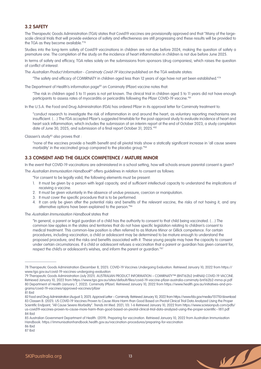# **3.2 SAFETY**

The Therapeutic Goods Administration (TGA) states that Covid19 vaccines are provisionally approved and that "Many of the largescale clinical trials that will provide evidence of safety and effectiveness are still progressing and these results will be provided to the TGA as they become available."78

Studies into the long-term safety of Covid19 vaccinations in children are not due before 2024, making the question of safety a premature one. The completion of the study on the incidence of heart inflammation in children is not due before June 2025.

In terms of safety and efficacy, TGA relies solely on the submissions from sponsors (drug companies), which raises the question of conflict of interest.

The Australian Product Information - Comirnaty Covid-19 Vaccine published on the TGA website states:

"The safety and efficacy of COMIRNATY in children aged less than 12 years of age have not yet been established."79

The Department of Health's information page<sup>80</sup> on Comirnaty (Pfizer) vaccine notes that:

"The risk in children aged 5 to 11 years is not yet known. The clinical trial in children aged 5 to 11 years did not have enough participants to assess rates of myocarditis or pericarditis following the Pfizer COVID-19 vaccine."<sup>81</sup>

In the U.S.A. the Food and Drug Administration (FDA) has ordered Pfizer in its approval letter for Comirnaty treatment to:

"conduct research to investigate the risk of inflammation in and around the heart, as voluntary reporting mechanisms are insufficient. (…) The FDA accepted Pfizer's suggested timetable for the post-approval study to evaluate incidence of heart and heart sack inflammation, which includes the submission of an interim report at the end of October 2023, a study completion date of June 30, 2025, and submission of a final report October 31, 2025."82

Classen's study $83$  also proves that :

"none of the vaccines provide a health benefit and all pivotal trials show a statically significant increase in 'all cause severe morbidity' in the vaccinated group compared to the placebo group."84

## **3.3 CONSENT AND THE GILLICK COMPETENCE / MATURE MINOR**

In the event that COVID-19 vaccinations are administered in a school setting, how will schools ensure parental consent is given?

The *Australian Immunisation Handbook*<sup>85</sup> offers auidelines in relation to consent as follows:

"For consent to be legally valid, the following elements must be present:

- 1. It must be given by a person with legal capacity, and of sufficient intellectual capacity to understand the implications of receiving a vaccine.
- 2. It must be given voluntarily in the absence of undue pressure, coercion or manipulation.
- 3. It must cover the specific procedure that is to be performed.
- 4. It can only be given after the potential risks and benefits of the relevant vaccine, the risks of not having it, and any alternative options have been explained to the person."86

The Australian Immunisation Handbook states that

"In general, a parent or legal guardian of a child has the authority to consent to that child being vaccinated. (…) The common law applies in the states and territories that do not have specific legislation relating to children's consent to medical treatment. This common-law position is often referred to as Mature Minor or Gillick competence. For certain procedures, including vaccination, a child or adolescent may be determined to be mature enough to understand the proposed procedure, and the risks and benefits associated with it. These young people may have the capacity to consent under certain circumstances. If a child or adolescent refuses a vaccination that a parent or guardian has given consent for, respect the child's or adolescent's wishes, and inform the parent or guardian."<sup>87</sup>

86 Ibid 87 Ibid

<sup>78</sup> Therapeutic Goods Administration (December 8, 2021). COVID-19 Vaccines Undergoing Evaluation. Retrieved January 10, 2022 from https:// www.tga.gov.au/covid-19-vaccines-undergoing-evaluation

<sup>79</sup> Therapeutic Goods Administration (July 2021). AUSTRALIAN PRODUCT INFORMATION – COMIRNATY™ (BNT162b2 [mRNA]) COVID-19 VACCINE. Retrieved January 10, 2022 from https://www.tga.gov.au/sites/default/files/covid-19-vaccine-pfizer-australia-comirnaty-bnt162b2-mrna-pi.pdf 80 Department of Health (January 7, 2022). Comirnaty (Pfizer). Retrieved January 10, 2022 from https://www.health.gov.au/initiatives-and-programs/covid-19-vaccines/approved-vaccines/pfizer

<sup>81</sup> Ibid

<sup>82</sup> Food and Drug Administration (August 3, 2021). Approval Letter – Comirnaty. Retrieved January 10, 2022 from https://www.fda.gov/media/151710/download 83 Classen B. (2021). US COVID-19 Vaccines Proven to Cause More Harm than Good Based on Pivotal Clinical Trial Data Analyzed Using the Proper Scientific Endpoint, "All Cause Severe Morbidity". Trends Int Med. 2021; 1(1): 1-6 Retrieved January 10, 2022 from https://www.scivisionpub.com/pdfs/ us-covid19-vaccines-proven-to-cause-more-harm-than-good-based-on-pivotal-clinical-trial-data-analyzed-using-the-proper-scientific--1811.pdf 84 Ibid

<sup>85</sup> Australian Government Department of Health. (2019). Preparing for vaccination. Retrieved January 10, 2022 from Australian Immunisation Handbook: https://immunisationhandbook.health.gov.au/vaccination-procedures/preparing-for-vaccination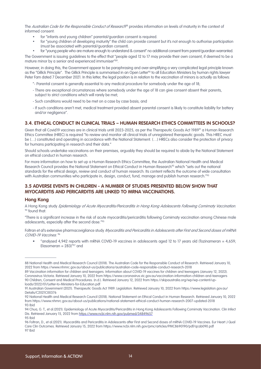The Australian Code for the Responsible Conduct of Research<sup>88</sup> provides information on levels of maturity in the context of informed consent:

- for "infants and young children" parental/guardian consent is required.
- for "young children of developing maturity" the child can provide consent but it's not enough to authorise participation (must be associated with parental/guardian consent).
- for "young people who are mature enough to understand & consent" no additional consent from parent/guardian warranted.

The Government is issuing guidelines to the effect that "people aged 12 to 17 may provide their own consent, if deemed to be a mature minor by a senior and experienced immuniser"89.

However, in doing this, the Government appear to be paraphrasing and over-simplifying a very complicated legal principle known as the "Gillick Principle". The Gillick Principle is summarised in an Open Letter<sup>90</sup> to all Education Ministers by human rights lawyer Peter Fam dated 7 December 2021. In this letter, the legal position is in relation to the vaccination of minors is actually as follows:

- "- Parental consent is generally essential to any medical procedure for somebody under the age of 18;
- There are exceptional circumstances where somebody under the age of 18 can give consent absent their parents, subject to strict conditions which will rarely be met;
- Such conditions would need to be met on a case by case basis; and
- If such conditions aren't met, medical treatment provided absent parental consent is likely to constitute liability for battery and/or negligence".

# **3.4. ETHICAL CONDUCT IN CLINICAL TRIALS – HUMAN RESEARCH ETHICS COMMITTEES IN SCHOOLS?**

Given that all Covid19 vaccines are in clinical trials until 2023-2025, as per the Therapeutic Goods Act 1989<sup>91</sup> a Human Research Ethics Committee (HREC) is required "to review and monitor all clinical trials of unregistered therapeutic goods. This HREC must be (…) constituted and operating in accordance with the National Statement. (…) HRECs also consider the protection of privacy for humans participating in research and their data."

Should schools undertake vaccinations on their premises, arguably they should be required to abide by the National Statement on ethical conduct in human research.

For more information on how to set up a Human Research Ethics Committee, the Australian National Health and Medical Research Council provides the National Statement on Ethical Conduct in Human Research<sup>92</sup> which "sets out the national standards for the ethical design, review and conduct of human research. Its content reflects the outcome of wide consultation with Australian communities who participate in, design, conduct, fund, manage and publish human research."<sup>93</sup>

# **3.5 ADVERSE EVENTS IN CHILDREN - A NUMBER OF STUDIES PRESENTED BELOW SHOW THAT MYOCARDITIS AND PERICARDITIS ARE LINKED TO MRNA VACCINATIONS.**

#### **Hong Kong**

A Hong Kong study *Epidemiology of Acute Myocarditis/Pericarditis in Hong Kong Adolescents Following Comirnaty Vaccination.* 94 found that:

"There is a significant increase in the risk of acute myocarditis/pericarditis following Comirnaty vaccination among Chinese male adolescents, especially after the second dose."95

Foltran et al's extensive pharmacovigilance study Myocarditis and Pericarditis in Adolescents after First and Second doses of mRNA COVID-19 Vaccines: 96

"analysed 4,942 reports with mRNA COVID-19 vaccines in adolescents aged 12 to 17 years old (Tozinameran = 4,659; Elasomeran =  $283$ <sup>"97</sup> and

<sup>88</sup> National Health and Medical Research Council (2018). The Australian Code for the Responsible Conduct of Research. Retrieved January 10, 2022 from https://www.nhmrc.gov.au/about-us/publications/australian-code-responsible-conduct-research-2018

<sup>89</sup> Vaccination information for children and teenagers. Information about COVID-19 vaccines for children and teenagers (January 12, 2022). Coronavirus Victoria. Retrieved January 10, 2022 from https://www.coronavirus.vic.gov.au/vaccination-information-children-and-teenagers 90 Children, Consent and Medical Procedures. (n.d.). Retrieved January 12, 2022 from https://skipaustralia.org/wp/wp-content/uploads/2022/01/Letter-to-Ministers-for-Education.pdf

<sup>91</sup> Australian Government (2021). Therapeutic Goods Act 1989. Legislation. Retrieved January 10, 2022 from https://www.legislation.gov.au/ Details/C2021C00376

<sup>92</sup> National Health and Medical Research Council (2018). National Statement on Ethical Conduct in Human Research. Retrieved January 10, 2022 from https://www.nhmrc.gov.au/about-us/publications/national-statement-ethical-conduct-human-research-2007-updated-2018 93 Ibid

<sup>94</sup> Chua, G. T., et al.(2021). Epidemiology of Acute Myocarditis/Pericarditis in Hong Kong Adolescents Following Comirnaty Vaccination. Clin Infect Dis. Retrieved January 15, 2022 from https://www.ncbi.nlm.nih.gov/pubmed/34849657 95 Ibid

<sup>96</sup> Foltran, D., et al.(2021). Myocarditis and Pericarditis in Adolescents after First and Second doses of mRNA COVID-19 Vaccines. Eur Heart J Qual Care Clin Outcomes. Retrieved January 15, 2022 from https://www.ncbi.nlm.nih.gov/pmc/articles/PMC8690190/pdf/qcab090.pdf 97 Ibid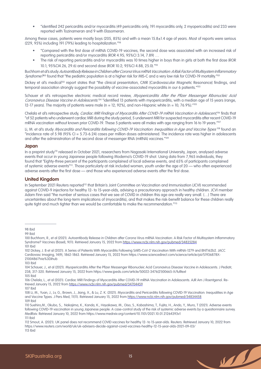"identified 242 pericarditis and/or myocarditis (49 pericarditis only, 191 myocarditis only, 2 myopericaditis) and 233 were reported with Tozinameran and 9 with Elasomeran.

Among these cases, patients were mostly boys (205, 85%) and with a mean 15.8±1.4 age of years. Most of reports were serious (229, 95%) including 191 (79%) leading to hospitalization."98

- • "Compared with the first dose of mRNA COVID-19 vaccines, the second dose was associated with an increased risk of reporting pericarditis and/or myocarditis (ROR 4.95; 95%CI 3.14, 7.89) …
- • The risk of reporting pericarditis and/or myocarditis was 10 times higher in boys than in girls at both the first dose (ROR 10.1; 95%CI4.26, 29.6) and second dose (ROR 10.2; 95%CI 4.88, 25.0)."99

Buchhorn et al's study Autoantibody Release in Children after Corona Virus mRNA Vaccination: A Risk Factor of Multisystem Inflammatory Syndrome<sup>700</sup> found that "the pediatric population is at a higher risk for MIS-C and a very low risk for COVID-19 mortality."<sup>101</sup>

Dickey et al's medical<sup>102</sup> report states that "the clinical presentation, CMR [Cardiovascular Magnetic Resonance] findings, and temporal association strongly suggest the possibility of vaccine-associated myocarditis in our 6 patients."<sup>103</sup>

Schauer et al's retrospective electronic medical record review, Myopericarditis After the Pfizer Messenger Ribonucleic Acid Coronavirus Disease Vaccine in Adolescents.<sup>104</sup> "identified 13 patients with myopericarditis, with a median age of 15 years (range, 12-17 years). The majority of patients were male  $(n = 12; 92\%)$ , and non-Hispanic white  $(n = 10; 76.9\%)$ . "<sup>105</sup>

Chelala et al's retrospective study, *Cardiac MRI Findings of Myocarditis After COVID-19 mRNA Vaccination in Adolescent*,106 finds that "of 52 patients who underwent cardiac MRI during the study period, 5 underwent MRI for suspected myocarditis after recent COVID-19 mRNA vaccination without known prior COVID-19. These 5 patients were all males with age ranging from 16 to 19 years."<sup>107</sup>

Li, M. et al's study Myocarditis and Pericarditis following COVID-19 Vaccination: Inequalities in Age and Vaccine Types 108 found an "incidence rate of 5.98 (95% CI = 5.73-6.24) cases per million doses administered. The incidence rate was higher in adolescents and after the administration of the second dose of messenger RNA (mRNA) vaccines."109

#### **Japan**

In a preprint study<sup>110</sup> released in October 2021, researchers from Nagasaki International University, Japan, analysed adverse events that occur in young Japanese people following Moderna's COVID-19 shot. Using data from 7,965 individuals, they found that "Eighty-three percent of the participants complained of local adverse events, and 65% of participants complained of systemic adverse events"111. Those particularly at risk included women, youth under the age of 20 — who often experienced adverse events after the first dose — and those who experienced adverse events after the first dose.

#### **United Kingdom**

In September 2021 Reuters reported<sup>112</sup> that Britain's Joint Committee on Vaccination and Immunisation (JCVI) recommended against COVID-9 injections for healthy 12- to 15-year-olds, advising a precautionary approach in healthy children. JCVI member Adam Finn said "the number of serious cases that we see of COVID in children this age are really very small. (…) There are uncertainties about the long-term implications of (myocarditis), and that makes the risk-benefit balance for these children really quite tight and much tighter than we would be comfortable to make the recommendation."113

W

<sup>98</sup> Ibid

<sup>99</sup> Ibid

<sup>100</sup> Buchhorn, R., et al (2021). Autoantibody Release in Children after Corona Virus mRNA Vaccination: A Risk Factor of Multisystem Inflammatory Syndrome? Vaccines (Basel), 9(11). Retrieved January 15, 2022 from https://www.ncbi.nlm.nih.gov/pubmed/34835284 101 Ibid

<sup>102</sup> Dickey, J. B et al (2021). A Series of Patients With Myocarditis Following SARS-CoV-2 Vaccination With mRNA-1279 and BNT162b2. JACC Cardiovasc Imaging, 14(9), 1862-1863. Retrieved January 15, 2022 from https://www.sciencedirect.com/science/article/pii/S1936878X-21004861?via%3Dihub

<sup>103</sup> Ibid

<sup>104</sup> Schauer, J., et al (2021). Myopericarditis After the Pfizer Messenger Ribonucleic Acid Coronavirus Disease Vaccine in Adolescents. J Pediatr 238, 317-320. Retrieved January 15, 2022 from https://www.jpeds.com/article/S0022-3476(21)00665-X/fulltext

<sup>105</sup> Ibid

<sup>106</sup> Chelala, L., et al (2021). Cardiac MRI Findings of Myocarditis After COVID-19 mRNA Vaccination in Adolescents. AJR Am J Roentgenol. Retrieved January 15, 2022 from https://www.ncbi.nlm.nih.gov/pubmed/34704459 107 Ibid

<sup>108</sup> Li, M., Yuan, J., Lv, G., Brown, J., Jiang, X., & Lu, Z. K. (2021). Myocarditis and Pericarditis following COVID-19 Vaccination: Inequalities in Age and Vaccine Types. J Pers Med, 11(11). Retrieved January 15, 2022 from https://www.ncbi.nlm.nih.gov/pubmed/34834458 109 Ibid

<sup>110</sup> Suehiro,M., Okubo, S., Nakajima, K., Kanda, K., Hayakawa, M., Oiso, S., Kabashima, T., Fujita, H., Ando, Y., Muro, T (2021). Adverse events following COVID-19 vaccination in young Japanese people: A case-control study of the risk of systemic adverse events by a questionnaire survey. MedRxiv. Retrieved January 10, 2022 from https://www.medrxiv.org/content/10.1101/2021.10.01.21264393v1 111 Ibid

<sup>112</sup> Smout, A. (2021). UK panel does not recommend COVID vaccines for healthy 12- to 15-year-olds. Reuters. Retrieved January 10, 2022 from https://www.reuters.com/world/uk/uk-advisers-decide-against-covid-vaccines-healthy-12-15-year-olds-2021-09-03/ 113 Ibid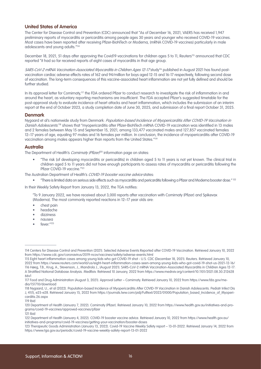## **United States of America**

The Center for Disease Control and Prevention (CDC) announced that "As of December 16, 2021, VAERS has received 1,947 preliminary reports of myocarditis or pericarditis among people ages 30 years and younger who received COVID-19 vaccines. Most cases have been reported after receiving Pfizer-BioNTech or Moderna, (mRNA COVID-19 vaccines) particularly in male adolescents and young adults."114

December 18, 2021, 51 days after approving the Covid19 vaccinations for children ages 5 to 11, Reuters<sup>115</sup> announced that CDC reported "it had so far received reports of eight cases of myocarditis in that age group.

SARS-CoV-2 mRNA Vaccination-Associated Myocarditis in Children Ages 12-17 study<sup>116</sup> published in August 2021 has found postvaccination cardiac adverse effects rates of 162 and 94/million for boys aged 12-15 and 16-17 respectively, following second dose of vaccination. The long-term consequences of this vaccine-associated heart inflammation are not yet fully defined and should be further studied.

In its approval letter for Comirnaty,<sup>117</sup> the FDA ordered Pfizer to conduct research to investigate the risk of inflammation in and around the heart, as voluntary reporting mechanisms are insufficient. The FDA accepted Pfizer's suggested timetable for the post-approval study to evaluate incidence of heart attacks and heart inflammation, which includes the submission of an interim report at the end of October 2023, a study completion date of June 30, 2025, and submission of a final report October 31, 2025.

## **Denmark**

Nygaard et al's nationwide study from Denmark: Population-based Incidence of Myopericarditis After COVID-19 Vaccination in Danish Adolescents.<sup>118</sup> shows that "myopericarditis after Pfizer-BioNTech mRNA COVID-19 vaccination was identified in 13 males and 2 females between May 15 and September 15, 2021, among 133,477 vaccinated males and 127,857 vaccinated females 12–17 years of age, equaling 97 males and 16 females per million. In conclusion, the incidence of myopericarditis after COVID-19 vaccination among males appears higher than reports from the United States."119

## **Australia**

The Department of Health's *Comirnaty (Pfizer)*<sup>20</sup> information page on states:

• "The risk [of developing myocarditis or pericarditis] in children aged 5 to 11 years is not yet known. The clinical trial in children aged 5 to 11 years did not have enough participants to assess rates of myocarditis or pericarditis following the Pfizer COVID-19 vaccine."<sup>121</sup>

The Australian Department of Health's COVID-19 booster vaccine advice states:

"There is limited data on serious side effects such as myocarditis and pericarditis following a Pfizer and Moderna booster dose." 122

In their Weekly Safety Report from January 13, 2022, the TGA notifies:

"To 9 January 2022, we have received about 3,000 reports after vaccination with Comirnaty (Pfizer) and Spikevax (Moderna). The most commonly reported reactions in 12–17 year olds are:

- chest pain
- headache
- • dizziness
- • nausea
- fever."<sup>123</sup>

<sup>114</sup> Centers for Disease Control and Prevention (2021). Selected Adverse Events Reported after COVID-19 Vaccination. Retrieved January 10, 2022 from https://www.cdc.gov/coronavirus/2019-ncov/vaccines/safety/adverse-events.html

<sup>115</sup> Eight heart inflammation cases among young kids who got COVID-19 shot - U.S. CDC (December 18, 2021). Reuters. Retrieved January 10, 2022 from https://www.reuters.com/world/us/eight-heart-inflammation-cases-seen-among-young-kids-who-got-covid-19-shot-us-2021-12-16/ 116 Høeg, T.B., Krug, A., Stevenson, J., Mandrola J., (August 2021). SARS-CoV-2 mRNA Vaccination-Associated Myocarditis in Children Ages 12-17: A Stratified National Database Analysis. MedRxiv. Retrieved 10 January, 2022 from https://www.medrxiv.org/content/10.1101/2021.08.30.212628 66v1

<sup>117</sup> Food and Drug Administration (August 3, 2021). Approval Letter – Comirnaty. Retrieved January 10, 2022 from https://www.fda.gov/media/151710/download

<sup>118</sup> Nygaard, U., et al (2022). Population-based Incidence of Myopericarditis After COVID-19 Vaccination in Danish Adolescents. Pediatr Infect Dis J, 41(1), e25-e28. Retrieved January 15, 2022 from https://journals.lww.com/pidj/Fulltext/2022/01000/Population\_based\_Incidence\_of\_Myopericarditis.26.aspx

<sup>119</sup> Ibid

<sup>120</sup> Department of Health (January 7, 2022). Comirnaty (Pfizer). Retrieved January 10, 2022 from https://www.health.gov.au/initiatives-and-programs/covid-19-vaccines/approved-vaccines/pfizer

<sup>122</sup> Department of Health (January 4, 2022). COVID-19 booster vaccine advice. Retrieved January 10, 2022 from https://www.health.gov.au/ initiatives-and-programs/covid-19-vaccines/getting-your-vaccination/booster-doses

<sup>123</sup> Therapeutic Goods Administration (January 13, 2022). Covid-19 Vaccine Weekly Safety report – 13-01-2022. Retrieved January 14, 2022 from https://www.tga.gov.au/periodic/covid-19-vaccine-weekly-safety-report-13-01-2022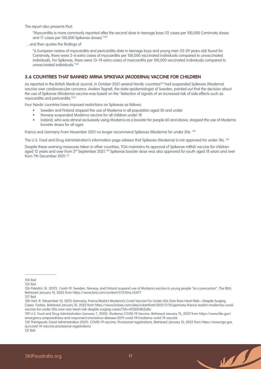The report also presents that:

"Myocarditis is more commonly reported after the second dose in teenage boys (12 cases per 100,000 Comirnaty doses and 17 cases per 100,000 Spikevax doses)."124

…and then quotes the findings of

"A European review of myocarditis and pericarditis data in teenage boys and young men (12-29 years old) found for Comirnaty, there were 2–6 extra cases of myocarditis per 100,000 vaccinated individuals compared to unvaccinated individuals. For Spikevax, there were 13–19 extra cases of myocarditis per 100,000 vaccinated individuals compared to unvaccinated individuals "125

## **3.6 COUNTRIES THAT BANNED MRNA SPIKEVAX (MODERNA) VACCINE FOR CHILDREN**

As reported in the British Medical Journal, in October 2021 several Nordic countries<sup>126</sup> had suspended Spikevax (Moderna) vaccine over cardiovascular concerns. Anders Tegnell, the state epidemiologist of Sweden, pointed out that the decision about the use of Spikevax (Moderna) vaccine was based on the "detection of signals of an increased risk of side effects such as myocarditis and pericarditis."127

Four Nordic countries have imposed restrictions on Spikevax as follows:

- Sweden and Finland stopped the use of Moderna in all population aged 30 and under
- Norway suspended Moderna vaccine for all children under 18
- Iceland, who was almost exclusively using Moderna as a booster for people 60 and above, stopped the use of Moderna booster doses for all ages

France and Germany From November 2021 no longer recommend Spikevax (Moderna) for under 30s. 128

The U.S. Food and Drug Administration's information page advises that Spikevax (Moderna) is not approved for under 18s. 129

Despite these warning measures taken in other countries, TGA maintains its approval of Spikevax mRNA vaccine for children aged 12 years and over from 3rd September 2021.<sup>130</sup> Spikevax booster dose was also approved for youth aged 18 years and over from 7th December 2021.<sup>131</sup>

127 Ibid

131 Ibid

W

<sup>124</sup> Ibid

<sup>125</sup> Ibid

<sup>126</sup> Paterlini, M. (2021). Covid-19: Sweden, Norway, and Finland suspend use of Moderna vaccine in young people "as a precaution". The BMJ. Retrieved January 10, 2022 from https://www.bmj.com/content/375/bmj.n2477

<sup>128</sup> Hart, R. (November 10, 2021) Germany, France Restrict Moderna's Covid Vaccine For Under-30s Over Rare Heart Risk—Despite Surging Cases. Forbes. Retrieved January 10, 2022 from https://www.forbes.com/sites/roberthart/2021/11/10/germany-france-restrict-modernas-covidvaccine-for-under-30s-over-rare-heart-risk-despite-surging-cases/?sh=4226f54b2a8a

<sup>129</sup> U.S. Food and Drug Administration (January 7, 2022). Moderna COVID-19 Vaccine. Retrieved January 15, 2022 from https://www.fda.gov/ emergency-preparedness-and-response/coronavirus-disease-2019-covid-19/moderna-covid-19-vaccine

<sup>130</sup> Therapeutic Good Administration (2021). COVID-19 vaccine: Provisional registrations. Retrieved January 10, 2022 from https://www.tga.gov. au/covid-19-vaccine-provisional-registrations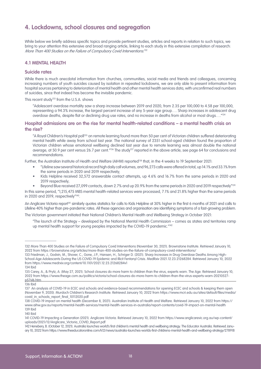# **4. Lockdowns, school closures and segregation**

While below we briefly address specific topics and provide pertinent studies, articles and reports in relation to such topics, we bring to your attention this extensive and broad ranging article, linking to each study in this extensive compilation of research: More Than 400 Studies on the Failure of Compulsory Covid Interventions.<sup>132</sup>

# **4.1 MENTAL HEALTH**

## **Suicide rates**

While there is much anecdotal information from churches, communities, social media and friends and colleagues, concerning increasing numbers of youth suicides caused by isolation in repeated lockdowns, we are only able to present information from hospital sources pertaining to deterioration of mental health and other mental health services data, with unconfirmed real numbers of suicides, since that indeed has become the invisible pandemic.

This recent study<sup>133</sup> from the U.S.A. shows

"Adolescent overdose mortality saw a sharp increase between 2019 and 2020, from 2.35 per 100,000 to 4.58 per 100,000, representing a 94.3% increase, the largest percent increase of any 5-year age group…. Sharp increases in adolescent drug overdose deaths, despite flat or declining drug use rates, and no increase in deaths from alcohol or most drugs…."134

#### **Hospital admissions are on the rise for mental health-related conditions – a mental health crisis on the rise?**

"A Royal Children's Hospital poll135 on remote learning found more than 50 per cent of Victorian children suffered deteriorating mental health while away from school last year. The national survey of 2351 school-aged children found the proportion of Victorian children whose emotional wellbeing declined last year due to remote learning was almost double the national average, at 50.9 per cent versus 26.7 per cent."<sup>136</sup> The study<sup>137</sup> reported in the above article; see page 64 for conclusions and recommendations.

Further, the Australian Institute of Health and Welfare (AIHW) reported<sup>138</sup> that, in the 4 weeks to 19 September 2021:

- • "Lifeline saw several historical record high daily call volumes, and96,273 calls were offered in total, up14.1%and33.1%from the same periods in 2020 and 2019 respectively;
- Kids Helpline received 32,572 answerable contact attempts, up 4.6% and 16.7% from the same periods in 2020 and 2019 respectively;
- Beyond Blue received 27,099 contacts, down 2.7% and up 20.9% from the same periods in 2020 and 2019 respectively"<sup>139.</sup>

In this same period, "1,215,475 MBS mental health-related services were processed, 7.1% and 21.8% higher than the same periods in 2020 and 2019, respectively"<sup>140</sup>.

An Anglicare Victoria report<sup>141</sup> similarly quotes statistics for calls to Kids Helpline at 30% higher in the first 6 months of 2021 and calls to Lifeline 40% higher than pre-pandemic rates. All these agencies and organisation are identifying symptoms of a fast-growing problem.

The Victorian government initiated their National Children's Mental Health and Wellbeing Strategy in October 2021:

"The launch of the Strategy – developed by the National Mental Health Commission – comes as states and territories ramp up mental health support for young peoples impacted by the COVID-19 pandemic."<sup>142</sup>

<sup>132</sup> More Than 400 Studies on the Failure of Compulsory Covid Interventions (November 30, 2021). Brownstone Institute. Retrieved January 10, 2022 from https://brownstone.org/articles/more-than-400-studies-on-the-failure-of-compulsory-covid-interventions/

<sup>133</sup> Friedman, J., Godvin, M., Shover, C., Gone, J.P., Hansen, H., Schriger D. (2021). Sharp Increases in Drug Overdose Deaths Among High-School-Age Adolescents During the US COVID-19 Epidemic and Illicit Fentanyl Crisis. MedRxiv 2021.12.23.21268284. Retrieved January 10, 2022 from https://www.medrxiv.org/content/10.1101/2021.12.23.21268284v1

<sup>135</sup> Carey, A., & Prytz, A. (May 27, 2021). School closures do more harm to children than the virus, experts warn. The Age. Retrieved January 10, 2022 from https://www.theage.com.au/politics/victoria/school-closures-do-more-harm-to-children-than-the-virus-experts-warn-20210527 p57vl6.htm

<sup>136</sup> Ibid

<sup>137</sup> An analysis of COVID-19 in ECEC and schools and evidence-based recommendations for opening ECEC and schools & keeping them open (November 9, 2020). Murdoch Children's Research Institute. Retrieved January 10, 2022 from https://www.mcri.edu.au/sites/default/files/media/ covid\_in\_schools\_report\_final\_10112020.pdf

<sup>138</sup> COVID-19 impact on mental health (December 8, 2021). Australian Institute of Health and Welfare. Retrieved January 10, 2022 from https:// www.aihw.gov.au/reports/mental-health-services/mental-health-services-in-australia/report-contents/covid-19-impact-on-mental-health 139 Ibid

<sup>140</sup> Ibid

<sup>141</sup> COVID-19 Impacting a Generation (2021). Anglicare Victoria. Retrieved January 10, 2022 from https://www.anglicarevic.org.au/wp-content/ uploads/2021/12/Anglicare\_Victoria\_COVID\_Report.pdf

<sup>142</sup> Henebery, B. (October 12, 2021). Australia launches world's first children's mental health and wellbeing strategy. The Educator Australia. Retrieved January 10, 2022 from https://www.theeducatoronline.com/k12/news/australia-launches-worlds-first-childrens-mental-health-and-wellbeing-strategy/278918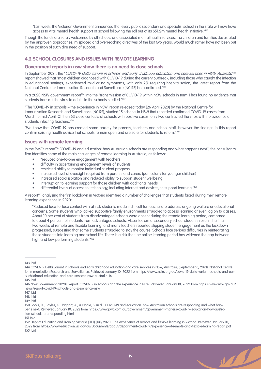"Last week, the Victorian Government announced that every public secondary and specialist school in the state will now have access to vital mental health support at school following the roll out of its \$51.2m mental health initiative."<sup>143</sup>

Though the funds are surely welcomed by all schools and associated mental health services, the children and families devastated by the unproven approaches, misplaced and overreaching directives of the last two years; would much rather have not been put in the position of such dire need of support.

# **4.2 SCHOOL CLOSURES AND ISSUES WITH REMOTE LEARNING**

#### **Government reports in nsw show there is no need to close schools**

In September 2021, the '*COVID-19 Delta variant in schools and early childhood education and care services in NSW, Australid<sup>n44</sup>* report showed that "most children diagnosed with COVID-19 during the current outbreak, including those who caught the infection in educational settings, experienced mild or no symptoms, with only 2% requiring hospitalisation, the latest report from the National Centre for Immunisation Research and Surveillance (NCIRS) has confirmed."145

In a 2020 NSW government report<sup>146</sup> into the "transmission of COVID-19 within NSW schools in term 1 has found no evidence that students transmit the virus to adults in the schools studied."147

"The 'COVID-19 in schools – the experience in NSW' report released today [26 April 2020] by the National Centre for Immunisation Research and Surveillance (NCIRS), studied 15 schools in NSW that recorded confirmed COVID-19 cases from March to mid-April. Of the 863 close contacts at schools with positive cases, only two contracted the virus with no evidence of students infecting teachers."<sup>148</sup>

"We know that COVID-19 has created some anxiety for parents, teachers and school staff, however the findings in this report confirm existing health advice that schools remain open and are safe for students to return."149

## **Issues with remote learning**

In the PwC's report<sup>150</sup> "COVID-19 and education: how Australian schools are responding and what happens next", the consultancy firm identifies some of the main challenges of remote learning in Australia, as follows:

- • "reduced one-to-one engagement with teachers
- difficulty in ascertaining engagement levels of students
- restricted ability to monitor individual student progress
- increased level of oversight required from parents and carers (particularly for younger children)
- increased social isolation and reduced ability to support student wellbeing
- interruption to learning support for those children with additional needs
- differential levels of access to technology, including internet and devices, to support learning."<sup>151</sup>

A report<sup>152</sup> analysing the first lockdown in Victoria identified a number of challenges that students faced during their remote learning experience in 2020:

"Reduced face-to-face contact with at-risk students made it difficult for teachers to address ongoing welfare or educational concerns. Some students who lacked supportive family environments struggled to access learning or even log on to classes. About 10 per cent of students from disadvantaged schools were absent during the remote learning period, compared to about 4 per cent of students from advantaged schools. Absenteeism of secondary school students rose in the final two weeks of remote and flexible learning, and many teachers reported slipping student engagement as the lockdown progressed, suggesting that some students struggled to stay the course. Schools face serious difficulties in reintegrating these students into learning and school life. There is a risk that the online learning period has widened the gap between high and low-performing students."<sup>153</sup>

 $\sqrt{2}$ 

<sup>143</sup> Ibid

<sup>144</sup> COVID-19 Delta variant in schools and early childhood education and care services in NSW, Australia, (September 8, 2021). National Centre for Immunisation Research and Surveillance. Retrieved January 10, 2022 from https://www.ncirs.org.au/covid-19-delta-variant-schools-and-early-childhood-education-and-care-services-nsw-australia-16

<sup>145</sup> Ibid

<sup>146</sup> NSW Government (2020). Report: COVID-19 in schools and the experience in NSW. Retrieved January 10, 2022 from https://www.nsw.gov.au/ news/report-covid-19-schools-and-experience-nsw

<sup>147</sup> Ibid 148 Ibid

<sup>149</sup> Ibid

<sup>150</sup> Sacks, D., Bayles, K., Taggart, A., & Noble, S. (n.d.). COVID-19 and education: how Australian schools are responding and what happens next. Retrieved January 10, 2022 from https://www.pwc.com.au/government/government-matters/covid-19-education-how-australian-schools-are-responding.html

<sup>151</sup> Ibid

<sup>152</sup> Dept of Education and Training Victoria (DET) (July 2020). The experience of remote and flexible learning in Victoria. Retrieved January 10, 2022 from https://www.education.vic.gov.au/Documents/about/department/covid-19/experience-of-remote-and-flexible-learning-report.pdf 153 Ibid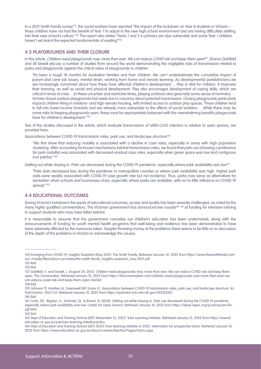In a 2021 Smith Family survey<sup>154</sup>, the social workers have reported "the impact of the lockdown on Year 8 students in Victoria these children have not had the benefit of Year 7 to adjust to the new high school environment and are having difficulties settling into their new school's culture."155 The report also states "Years 1 and 2 in primary are also vulnerable and some Year 1 children haven't yet learnt the expected fundamentals of reading"<sup>156</sup>.

## **4.3 PLAYGROUNDS AND THEIR CLOSURE**

In this article, Children need playgrounds now, more than ever. We can reduce COVID risk and keep them open<sup>157</sup>, Sharon Goldfeld and Jill Sewell discuss a number of studies from around the world demonstrating the negligible risks of transmission related to parks and playgrounds against the critical value of playgrounds to children.

"It's been a tough 18 months for Australian families and their children. We can't underestimate the cumulative impact of parent and carer job losses, mental strain, working from home and remote learning. As developmental paediatricians we are increasingly concerned about how these have affected children's development…..Play is vital for children. It improves their learning, as well as social and physical development. Play also encourages development of coping skills, which are critical in times of crisis….In these uncertain and restrictive times, playing outdoors also gives kids some sense of normalcy. … Victoria closed outdoor playgrounds last week due to concerns about potential transmission. Closing playgrounds particularly impacts children living in medium- and high-density housing, with limited access to outdoor play spaces. These children tend to fall into lower-income brackets and are already more vulnerable to the effects of social isolation…..While there may be some risks to keeping playgrounds open, these must be appropriately balanced with the overwhelming benefits playgrounds have for children's development."158

Two of the studies discussed in the article, which evaluate transmission of SARS-CoV2 infection in relation to open spaces, are provided here:

Associations between COVID-19 transmission rates, park use, and landscape structure<sup>159</sup>:

"We first show that reducing mobility is associated with a decline in case rates, especially in areas with high population clustering. After accounting for known mechanisms behind transmission rates, we found that park use (showing a preference for park mobility) was associated with decreased residual case rates, especially when green space was low and contiguous (not patchy)."160

Getting out while staying in: Park use decreased during the COVID-19 pandemic, especially where park availability was low<sup>161</sup>:

"Park visits decreased less during the pandemic in metropolitan counties or where park availability was high. Higher park visits were weakly associated with COVID-19 case growth rate but not incidence. Thus, parks may serve as alternatives for recreation when schools and businesses close, especially where parks are available, with no-to-little influence on COVID-19 spread."162

# **4.4 EDUCATIONAL OUTCOMES**

During Victoria's lockdowns the equity of educational outcomes, access and quality has been severely challenged, as noted by the many highly qualified commentators. The Victorian government has announced two rounds<sup>163 164</sup> of funding for intensive tutoring to support students who may have fallen behind.

It is reasonable to assume that the government concedes our children's education has been undermined, alona with the announcements of funding for youth mental health programs that well-being and resilience has been demonstrated to have been adversely affected by the measures taken. Despite throwing money at the problems there seems to be little or no discussion of the depth of the problems in Victoria or acknowledge the causes.

<sup>154</sup> Emerging from COVID-19: Insights Snapshot (May 2021). The Smith Family. Retrieved January 10, 2022 from https://www.thesmithfamily.com. au/-/media/files/about-us/media/the-smith-family\_insights-snapshot\_may-2021.pdf

<sup>155</sup> Ibid 156 Ibid

<sup>157</sup> Goldfeld, S. and Sewell, J. (August 24, 2021). Children need playgrounds now, more than ever. We can reduce COVID risk and keep them open. The Conversation. Retrieved January 10, 2022 from https://theconversation.com/children-need-playgrounds-now-more-than-ever-wecan-reduce-covid-risk-and-keep-them-open-166562

<sup>158</sup> Ibid

<sup>159</sup> Johnson TF, Hordley LA, Greenwell MP, Evans LC. Associations between COVID-19 transmission rates, park use, and landscape structure. Sci Total Environ. 2021 Oct. Retrieved January 10, 2022 from https://pubmed.ncbi.nlm.nih.gov/34210524/

<sup>160</sup> Ibid

<sup>161</sup> Curtis, DS., Rigolon, A., Schmalz, DL. & Brown, B, (2020). Getting out while staying in: Park use decreased during the COVID-19 pandemic, especially where park availability was low. Center for Open Science. Retrieved January 10, 2022 from https://ideas.repec.org/p/osf/socarx/9xzgf.html

<sup>162</sup> Ibid

<sup>163</sup> Dept of Education and Training Victoria (DET) (November 15, 2021). Tutor Learning Initiative. Retrieved January 10, 2022 from https://www2. education.vic.gov.au/pal/tutor-learning-initiative/policy

<sup>164</sup> Dept of Education and Training Victoria (DET) (2021) Tutor learning initiative in 2022: information for prospective tutors. Retrieved January 10, 2022 from https://www.education.vic.gov.au/about/careers/teacher/Pages/tutors.aspx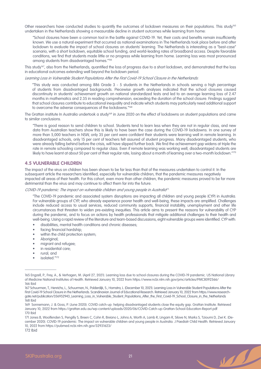Other researchers have conducted studies to quantify the outcomes of lockdown measures on their populations. This study<sup>165</sup> undertaken in the Netherlands showing a measurable decline in student outcomes while learning from home:

"School closures have been a common tool in the battle against COVID-19. Yet, their costs and benefits remain insufficiently known. We use a natural experiment that occurred as national examinations in The Netherlands took place before and after lockdown to evaluate the impact of school closures on students' learning. The Netherlands is interesting as a "best-case" scenario, with a short lockdown, equitable school funding, and world-leading rates of broadband access. Despite favorable conditions, we find that students made little or no progress while learning from home. Learning loss was most pronounced among students from disadvantaged homes."166

This study<sup>167</sup>, also from the Netherlands, quantified the loss of progress due to a short lockdown, and demonstrated that the loss in educational outcomes extending well beyond the lockdown period.

Learning Loss in Vulnerable Student Populations After the First Covid-19 School Closure in the Netherlands:

"This study was conducted among 886 Grade 3 - 5 students in the Netherlands in schools serving a high percentage of students from disadvantaged backgrounds. Piecewise growth analyses indicated that the school closures caused discontinuity in students' achievement growth on national standardized tests and led to an average learning loss of 2.47 months in mathematics and 2.35 in reading comprehension, exceeding the duration of the school closure. Findings suggest that school closures contribute to educational inequality and indicate which students may particularly need additional support to overcome the adverse consequences of the lockdowns."168

The Grattan institute In Australia undertook a study<sup>169</sup> in June 2020 on the effect of lockdowns on student populations and came to similar conclusions.

"There is good reason to send children to school. Students tend to learn less when they are not in regular class, and new data from Australian teachers show this is likely to have been the case during the COVID-19 lockdowns. In one survey of more than 5,000 teachers in NSW, only 35 per cent were confident their students were learning well in remote learning. In disadvantaged schools, only 15 per cent of teachers felt assured of student progress. Many disadvantaged students, who were already falling behind before the crisis, will have slipped further back. We find the achievement gap widens at triple the rate in remote schooling compared to regular class. Even if remote learning was working well, disadvantaged students are likely to have learnt at about 50 per cent of their regular rate, losing about a month of learning over a two-month lockdown."170

#### **4.5 VULNERABLE CHILDREN**

The impact of the virus on children has been shown to be far less than that of the measures undertaken to control it. In the subsequent article the researchers identified, especially for vulnerable children, that the pandemic measures negatively impacted all areas of their health. For this cohort, even more than other children, the pandemic measures proved to be far more detrimental than the virus and may continue to affect them far into the future.

#### $COVID-19$  pandemic: The impact on vulnerable children and vouna people in Australia<sup> $\pi$ </sup>

"The COVID-19 pandemic and associated system disruptions are impacting all children and young people (CYP) in Australia. For vulnerable groups of CYP, who already experience poorer health and well-being, these impacts are amplified. Challenges include reduced access to usual services, reduced community supports, financial instability, unemployment and other life circumstances that threaten to widen pre-existing inequities. This article aims to present the reasons for vulnerability of CYP during the pandemic, and to focus on actions by health professionals that mitigate additional challenges to their health and well-being. Using a rapid review of the literature and team-based discussions, eight vulnerable groups were identified. CYP with:

- disabilities, mental health conditions and chronic diseases;
- facing financial hardship;<br>• within the child protection
- within the child protection system;
- Aboriginal:
- migrant and refugee;
- in residential care:
- • rural; and
- isolated."<sup>172</sup>

172 Ibid

W

<sup>165</sup> Engzell, P., Frey, A., & Verhagen, M. (April 27, 2021). Learning loss due to school closures during the COVID-19 pandemic. US National Library of Medicine National Institutes of Health. Retrieved January 10, 2022 from https://www.ncbi.nlm.nih.gov/pmc/articles/PMC8092566/ 166 Ibid

<sup>167</sup> Schuurman, T., Henrichs, L., Schuurman, N., Polderdijk, S., Hornstra, L. (December 10, 2021). Learning Loss in Vulnerable Student Populations After the First Covid-19 School Closure in the Netherlands. Scandinavian Journal of Educational Research. Retrieved January 10, 2022 from https://www.researchgate.net/publication/356952943\_Learning\_Loss\_in\_Vulnerable\_Student\_Populations\_After\_the\_First\_Covid-19\_School\_Closure\_in\_the\_Netherlands 168 Ibid

<sup>169</sup> Sonnemann, J. & Goss, P. (June 2020). COVID catch-up: helping disadvantaged students close the equity gap. Grattan Institute. Retrieved January 10, 2022 from https://grattan.edu.au/wp-content/uploads/2020/06/COVID-Catch-up-Grattan-School-Education-Report.pdf 170 Ibid

<sup>171</sup> Jones B, Woolfenden S, Pengilly S, Breen C, Cohn R, Biviano L, Johns A, Worth A, Lamb R, Lingam R, Silove N, Marks S, Tzioumi D, Zwi K. (December 2020). COVID-19 pandemic: The impact on vulnerable children and young people in Australia. J Paediatr Child Health. Retrieved January 10, 2022 from https://pubmed.ncbi.nlm.nih.gov/32931623/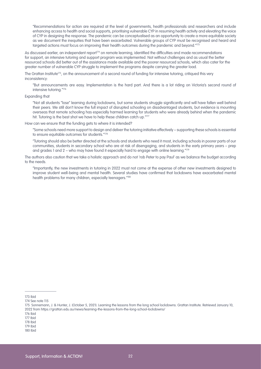"Recommendations for action are required at the level of governments, health professionals and researchers and include enhancing access to health and social supports, prioritising vulnerable CYP in resuming health activity and elevating the voice of CYP in designing the response. The pandemic can be conceptualised as an opportunity to create a more equitable society as we document the inequities that have been exacerbated. Vulnerable groups of CYP must be recognised and heard and targeted actions must focus on improving their health outcomes during the pandemic and beyond."<sup>173</sup>

As discussed earlier, an independent report<sup>174</sup> on remote learning, identified the difficulties and made recommendations for support, an intensive tutoring and support program was implemented. Not without challenges and as usual the better resourced schools did better out of the assistance made available and the poorer resourced schools, which also cater for the greater number of vulnerable CYP struggle to implement the programs despite carrying the greater load.

The Grattan Institute<sup>175</sup>, on the announcement of a second round of funding for intensive tutoring, critiqued this very inconsistency:

"But announcements are easy. Implementation is the hard part. And there is a lot riding on Victoria's second round of intensive tutoring."176

#### Expanding that

"Not all students "lose" learning during lockdowns, but some students struggle significantly and will have fallen well behind their peers. We still don't know the full impact of disrupted schooling on disadvantaged students, but evidence is mounting overseas that remote schooling has especially harmed learning for students who were already behind when the pandemic hit. Tutoring is the best shot we have to help these children catch up."177

How can we ensure that the funding gets to where it is intended?

"Some schools need more support to design and deliver the tutoring initiative effectively – supporting these schools is essential to ensure equitable outcomes for students."178

"Tutoring should also be better directed at the schools and students who need it most, including schools in poorer parts of our communities, students in secondary school who are at risk of disengaging, and students in the early primary years – prep and grades 1 and 2 – who may have found it especially hard to engage with online learning."179

The authors also caution that we take a holistic approach and do not 'rob Peter to pay Paul' as we balance the budget according to the needs.

"Importantly, the new investments in tutoring in 2022 must not come at the expense of other new investments designed to improve student well-being and mental health. Several studies have confirmed that lockdowns have exacerbated mental health problems for many children, especially teenagers."<sup>180</sup>

<sup>173</sup> Ibid

<sup>174</sup> See note 115

<sup>175</sup> Sonnemann, J. & Hunter, J. (October 5, 2021). Learning the lessons from the long school lockdowns. Grattan Institute. Retrieved January 10, 2022 from https://grattan.edu.au/news/learning-the-lessons-from-the-long-school-lockdowns/

<sup>176</sup> Ibid 177 Ibid

<sup>178</sup> Ibid

<sup>179</sup> Ibid

<sup>180</sup> Ibid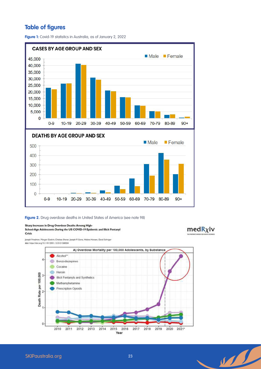# **Table of figures**



**Figure 1:** Covid-19 statistics in Australia, as of January 2, 2022

**Figure 2.** Drug overdose deaths in United States of America (see note 98)

Sharp Increases in Drug Overdose Deaths Among High-School-Age Adolescents During the US COVID-19 Epidemic and Illicit Fentanyl Crisis

 $medR<sub>X</sub>iv$ 

Joseph Friedman, Morgan Godvin, Chelsen Shover, Joseph P. Gone, Helena Hansen, David Schriger doi: https://doi.org/10.1101/2021.12.23.21268264



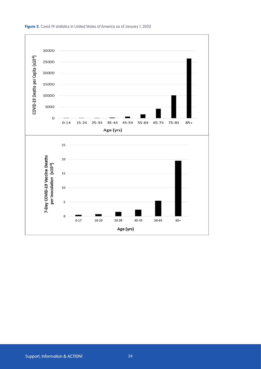

**Figure 3.** Covid-19 statistics in United States of America as of January 1, 2022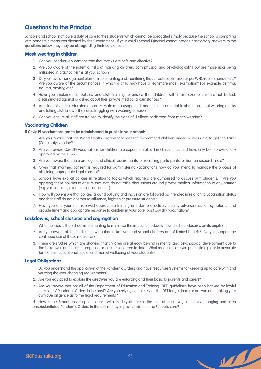# **Questions to the Principal**

Schools and school staff owe a duty of care to their students which cannot be abrogated simply because the school is complying with pandemic measures dictated by the Government. If your child's School Principal cannot provide satisfactory answers to the questions below, they may be disregarding their duty of care.

## **Mask wearing in children**

- 1. Can you conclusively demonstrate that masks are safe and effective?
- 2. Are you aware of the potential risks of masking children, both physical and psychological? How are those risks being mitigated in practical terms at your school?
- 3. Do you have a management plan for implementing and monitoring the correct use of masks as per WHO recommendations? Are you aware of the circumstances in which a child may have a legitimate mask exemption? For example asthma, trauma, anxiety, etc?
- 4. Have you implemented policies and staff training to ensure that children with mask exemptions are not bullied, discriminated against or asked about their private medical circumstances?
- 5. Are students being educated on correct/safe mask usage and made to feel comfortable about those not wearing masks and letting staff know if they are struggling with wearing a mask?
- 6. Can you ensure all staff are trained to identify the signs of ill effects or distress from mask-wearing?

## **Vaccinating Children**

#### **If Covid19 vaccinations are to be administered to pupils in your school:**

- 1. Are you aware that the World Health Organisation doesn't recommend children under 12 years old to get the Pfizer (Comirnaty) vaccine?
- 2. Are you aware Covid19 vaccinations for children are experimental, still in clinical trials and have only been provisionally approved by the TGA?
- 3. Are you aware that there are legal and ethical requirements for recruiting participants for human research trials?
- 4. Given that informed consent is required for administering vaccinations how do you intend to manage the process of obtaining appropriate legal consent?
- 5. Schools have explicit policies in relation to topics which teachers are authorised to discuss with students. Are you applying these policies to ensure that staff do not raise discussions around private medical information of any nature? (e.g. vaccinations, exemptions, consent etc).
- 6. How will you ensure that policies around bullying and inclusion are followed as intended in relation to vaccination status and that staff do not attempt to influence, frighten or pressure students?
- 7. Have you and your staff received appropriate training in order to effectively identify adverse reaction symptoms, and provide timely and appropriate response to children in your care, post Covid19 vaccination?

#### **Lockdowns, school closures and segregation**

- 1. What policies is the School implementing to minimise the impact of lockdowns and school closures on its pupils?
- 2. Are you aware of the studies showing that lockdowns and school closures are of limited benefit? Do you support the continued use of these measures?
- 3. There are studies which are showing that children are already behind in mental and psychosocial development due to the lockdowns and other segregations measures endured to date. What measures are you putting into place to advocate for the best educational, social and mental wellbeing of your students?

#### **Legal Obligations**

- 1. Do you understand the application of the Pandemic Orders and have resources/systems for keeping up to date with and verifying the ever-changing requirements?
- 2. Are you equipped to explain the directives you are enforcing and their basis to parents and carers?
- 3. Are you aware that not all of the Department of Education and Training (DET) guidelines have been backed by lawful directions / Pandemic Orders in the past? Are you relying completely on the DET for guidance or are you undertaking your own due diligence as to the legal requirements?

4. How is the School ensuring compliance with its duty of care in the face of the novel, constantly changing and often unsubstantiated Pandemic Orders to the extent they impact children in the School's care?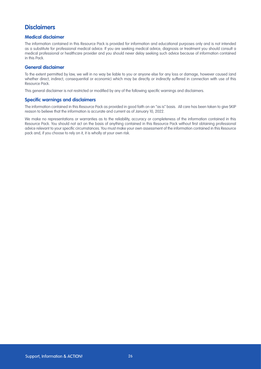# **Disclaimers**

# **Medical disclaimer**

The information contained in this Resource Pack is provided for information and educational purposes only and is not intended as a substitute for professional medical advice. If you are seeking medical advice, diagnosis or treatment you should consult a medical professional or healthcare provider and you should never delay seeking such advice because of information contained in this Pack.

#### **General disclaimer**

To the extent permitted by law, we will in no way be liable to you or anyone else for any loss or damage, however caused (and whether direct, indirect, consequential or economic) which may be directly or indirectly suffered in connection with use of this Resource Pack.

This general disclaimer is not restricted or modified by any of the following specific warnings and disclaimers.

#### **Specific warnings and disclaimers**

The information contained in this Resource Pack as provided in good faith on an "as is" basis. All care has been taken to give SKIP reason to believe that the information is accurate and current as of January 10, 2022.

We make no representations or warranties as to the reliability, accuracy or completeness of the information contained in this Resource Pack. You should not act on the basis of anything contained in this Resource Pack without first obtaining professional advice relevant to your specific circumstances. You must make your own assessment of the information contained in this Resource pack and, if you choose to rely on it, it is wholly at your own risk.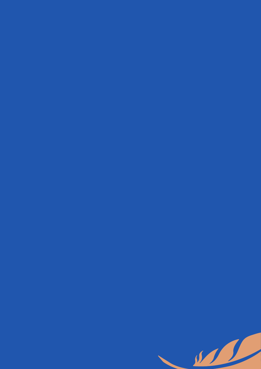